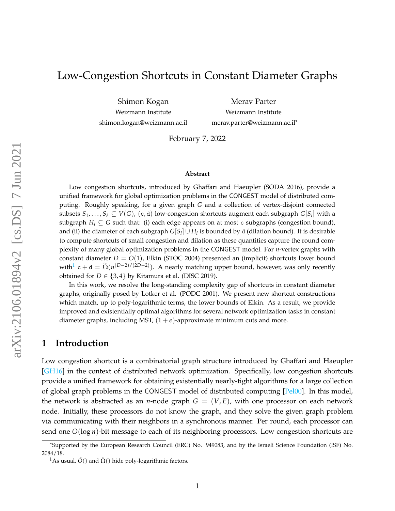# Low-Congestion Shortcuts in Constant Diameter Graphs

Shimon Kogan Weizmann Institute shimon.kogan@weizmann.ac.il

Merav Parter Weizmann Institute merav.parter@weizmann.ac.il\*

February 7, 2022

#### **Abstract**

Low congestion shortcuts, introduced by Ghaffari and Haeupler (SODA 2016), provide a unified framework for global optimization problems in the CONGEST model of distributed computing. Roughly speaking, for a given graph *G* and a collection of vertex-disjoint connected subsets  $S_1,\ldots,S_\ell\subseteq V(G)$ , (c, d) low-congestion shortcuts augment each subgraph  $G[S_i]$  with a subgraph  $H_i \subseteq G$  such that: (i) each edge appears on at most c subgraphs (congestion bound), and (ii) the diameter of each subgraph  $G[S_i] \cup H_i$  is bounded by  $\mathsf d$  (dilation bound). It is desirable to compute shortcuts of small congestion and dilation as these quantities capture the round complexity of many global optimization problems in the CONGEST model. For *n*-vertex graphs with constant diameter *D* = *O*(1), Elkin (STOC 2004) presented an (implicit) shortcuts lower bound with<sup>[1](#page-0-0)</sup> c + d =  $\tilde{\Omega}(n^{(D-2)/(2D-2)})$ . A nearly matching upper bound, however, was only recently obtained for  $D \in \{3, 4\}$  by Kitamura et al. (DISC 2019).

In this work, we resolve the long-standing complexity gap of shortcuts in constant diameter graphs, originally posed by Lotker et al. (PODC 2001). We present new shortcut constructions which match, up to poly-logarithmic terms, the lower bounds of Elkin. As a result, we provide improved and existentially optimal algorithms for several network optimization tasks in constant diameter graphs, including MST,  $(1 + \epsilon)$ -approximate minimum cuts and more.

#### **1 Introduction**

Low congestion shortcut is a combinatorial graph structure introduced by Ghaffari and Haeupler [\[GH16\]](#page-14-0) in the context of distributed network optimization. Specifically, low congestion shortcuts provide a unified framework for obtaining existentially nearly-tight algorithms for a large collection of global graph problems in the CONGEST model of distributed computing [\[Pel00\]](#page-16-0). In this model, the network is abstracted as an *n*-node graph  $G = (V, E)$ , with one processor on each network node. Initially, these processors do not know the graph, and they solve the given graph problem via communicating with their neighbors in a synchronous manner. Per round, each processor can send one *O*(log *n*)-bit message to each of its neighboring processors. Low congestion shortcuts are

<sup>\*</sup>Supported by the European Research Council (ERC) No. 949083, and by the Israeli Science Foundation (ISF) No. 2084/18.

<span id="page-0-0"></span><sup>&</sup>lt;sup>1</sup>As usual,  $\tilde{O}()$  and  $\tilde{\Omega}()$  hide poly-logarithmic factors.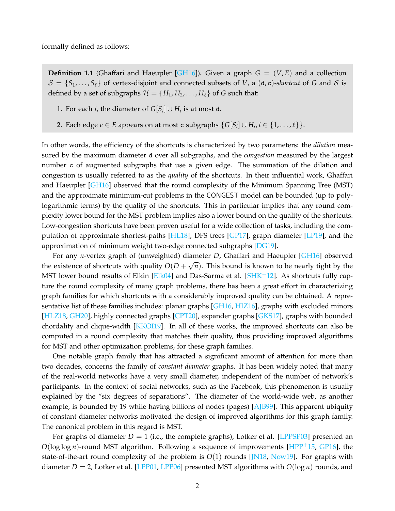formally defined as follows:

**Definition 1.1** (Ghaffari and Haeupler [\[GH16\]](#page-14-0)). Given a graph  $G = (V, E)$  and a collection  $S = \{S_1, \ldots, S_\ell\}$  of vertex-disjoint and connected subsets of *V*, a (d, c)-*shortcut* of *G* and *S* is defined by a set of subgraphs  $\mathcal{H} = \{H_1, H_2, \dots, H_\ell\}$  of *G* such that:

- 1. For each *i*, the diameter of  $G[S_i] \cup H_i$  is at most d.
- 2. Each edge  $e \in E$  appears on at most c subgraphs  $\{G[S_i] \cup H_i, i \in \{1, \ldots, \ell\}\}$ .

In other words, the efficiency of the shortcuts is characterized by two parameters: the *dilation* measured by the maximum diameter d over all subgraphs, and the *congestion* measured by the largest number c of augmented subgraphs that use a given edge. The summation of the dilation and congestion is usually referred to as the *quality* of the shortcuts. In their influential work, Ghaffari and Haeupler [\[GH16\]](#page-14-0) observed that the round complexity of the Minimum Spanning Tree (MST) and the approximate minimum-cut problems in the CONGEST model can be bounded (up to polylogarithmic terms) by the quality of the shortcuts. This in particular implies that any round complexity lower bound for the MST problem implies also a lower bound on the quality of the shortcuts. Low-congestion shortcuts have been proven useful for a wide collection of tasks, including the computation of approximate shortest-paths [\[HL18\]](#page-15-0), DFS trees [\[GP17\]](#page-14-1), graph diameter [\[LP19\]](#page-15-1), and the approximation of minimum weight two-edge connected subgraphs [\[DG19\]](#page-14-2).

For any *n*-vertex graph of (unweighted) diameter *D*, Ghaffari and Haeupler [\[GH16\]](#page-14-0) observed the existence of shortcuts with quality  $O(D +$ √  $\overline{n}).$  This bound is known to be nearly tight by the MST lower bound results of Elkin [\[Elk04\]](#page-14-3) and Das-Sarma et al. [\[SHK](#page-16-1)<sup>+</sup>12]. As shortcuts fully capture the round complexity of many graph problems, there has been a great effort in characterizing graph families for which shortcuts with a considerably improved quality can be obtained. A repre-sentative list of these families includes: planar graphs [\[GH16,](#page-14-0) [HIZ16\]](#page-15-2), graphs with excluded minors [\[HLZ18,](#page-15-3) [GH20\]](#page-14-4), highly connected graphs [\[CPT20\]](#page-14-5), expander graphs [\[GKS17\]](#page-14-6), graphs with bounded chordality and clique-width [\[KKOI19\]](#page-15-4). In all of these works, the improved shortcuts can also be computed in a round complexity that matches their quality, thus providing improved algorithms for MST and other optimization problems, for these graph families.

One notable graph family that has attracted a significant amount of attention for more than two decades, concerns the family of *constant diameter* graphs. It has been widely noted that many of the real-world networks have a very small diameter, independent of the number of network's participants. In the context of social networks, such as the Facebook, this phenomenon is usually explained by the "six degrees of separations". The diameter of the world-wide web, as another example, is bounded by 19 while having billions of nodes (pages) [\[AJB99\]](#page-14-7). This apparent ubiquity of constant diameter networks motivated the design of improved algorithms for this graph family. The canonical problem in this regard is MST.

For graphs of diameter  $D = 1$  (i.e., the complete graphs), Lotker et al. [\[LPPSP03\]](#page-15-5) presented an *O*(log log *n*)-round MST algorithm. Following a sequence of improvements [\[HPP](#page-15-6)<sup>+</sup>15, [GP16\]](#page-14-8), the state-of-the-art round complexity of the problem is *O*(1) rounds [\[JN18,](#page-15-7) [Now19\]](#page-16-2). For graphs with diameter *D* = 2, Lotker et al. [\[LPP01,](#page-15-8) [LPP06\]](#page-15-9) presented MST algorithms with *O*(log *n*) rounds, and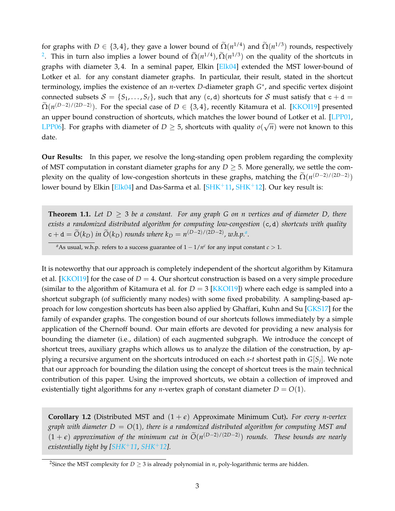for graphs with *D*  $\in$  {3,4}, they gave a lower bound of  $\Omega(n^{1/4})$  and  $\Omega(n^{1/3})$  rounds, respectively <sup>[2](#page-2-0)</sup>. This in turn also implies a lower bound of  $\tilde{\Omega}(n^{1/4})$ ,  $\tilde{\Omega}(n^{1/3})$  on the quality of the shortcuts in graphs with diameter 3,4. In a seminal paper, Elkin [\[Elk04\]](#page-14-3) extended the MST lower-bound of Lotker et al. for any constant diameter graphs. In particular, their result, stated in the shortcut terminology, implies the existence of an *n*-vertex *D*-diameter graph *G* ∗ , and specific vertex disjoint connected subsets  $S = \{S_1, \ldots, S_\ell\}$ , such that any (c, d) shortcuts for S must satisfy that  $c + d =$  $\widetilde{\Omega}(n^{(D-2)/(2D-2)})$ . For the special case of  $D \in \{3,4\}$ , recently Kitamura et al. [\[KKOI19\]](#page-15-4) presented an upper bound construction of shortcuts, which matches the lower bound of Lotker et al. [\[LPP01,](#page-15-8)  $\overline{L}$ ] [LPP06\]](#page-15-9). For graphs with diameter of  $D \geq 5$ , shortcuts with quality  $o(\sqrt{n})$  were not known to this date.

**Our Results:** In this paper, we resolve the long-standing open problem regarding the complexity of MST computation in constant diameter graphs for any  $D \geq 5$ . More generally, we settle the complexity on the quality of low-congestion shortcuts in these graphs, matching the  $\tilde{\Omega}(n^{(D-2)/(2D-2)})$ lower bound by Elkin [\[Elk04\]](#page-14-3) and Das-Sarma et al.  $[SHK^+11, SHK^+12]$  $[SHK^+11, SHK^+12]$  $[SHK^+11, SHK^+12]$  $[SHK^+11, SHK^+12]$ . Our key result is:

<span id="page-2-3"></span>**Theorem 1.1.** *Let D* ≥ 3 *be a constant. For any graph G on n vertices and of diameter D, there exists a randomized distributed algorithm for computing low-congestion* (c, d) *shortcuts with quality*  $c + d = \widetilde{O}(k_D)$  *in*  $\widetilde{O}(k_D)$  *rounds where*  $k_D = n^{(D-2)/(2D-2)}$ , *w.h.p.<sup>[a](#page-2-1)</sup>*.

<span id="page-2-1"></span>*a*As usual, w.h.p. refers to a success guarantee of  $1 - 1/n<sup>c</sup>$  for any input constant  $c > 1$ .

It is noteworthy that our approach is completely independent of the shortcut algorithm by Kitamura et al. [\[KKOI19\]](#page-15-4) for the case of  $D = 4$ . Our shortcut construction is based on a very simple procedure (similar to the algorithm of Kitamura et al. for *D* = 3 [\[KKOI19\]](#page-15-4)) where each edge is sampled into a shortcut subgraph (of sufficiently many nodes) with some fixed probability. A sampling-based approach for low congestion shortcuts has been also applied by Ghaffari, Kuhn and Su [\[GKS17\]](#page-14-6) for the family of expander graphs. The congestion bound of our shortcuts follows immediately by a simple application of the Chernoff bound. Our main efforts are devoted for providing a new analysis for bounding the diameter (i.e., dilation) of each augmented subgraph. We introduce the concept of shortcut trees, auxiliary graphs which allows us to analyze the dilation of the construction, by applying a recursive argument on the shortcuts introduced on each *s*-*t* shortest path in *G*[*S<sup>j</sup>* ]. We note that our approach for bounding the dilation using the concept of shortcut trees is the main technical contribution of this paper. Using the improved shortcuts, we obtain a collection of improved and existentially tight algorithms for any *n*-vertex graph of constant diameter  $D = O(1)$ .

<span id="page-2-2"></span>**Corollary 1.2** (Distributed MST and  $(1 + \epsilon)$  Approximate Minimum Cut). For every n-vertex *graph with diameter*  $D = O(1)$ *, there is a randomized distributed algorithm for computing MST and*  $(1 + \epsilon)$  approximation of the minimum cut in  $\tilde{O}(n^{(D-2)/(2D-2)})$  rounds. These bounds are nearly *existentially tight by [\[SHK](#page-16-3)*+*11, [SHK](#page-16-1)*+*12].*

<span id="page-2-0"></span><sup>&</sup>lt;sup>2</sup>Since the MST complexity for *D*  $\geq$  3 is already polynomial in *n*, poly-logarithmic terms are hidden.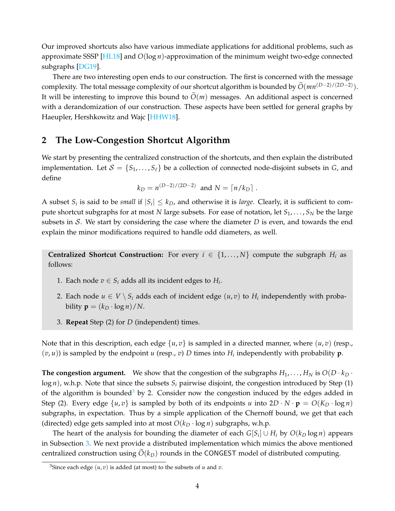Our improved shortcuts also have various immediate applications for additional problems, such as approximate SSSP [\[HL18\]](#page-15-0) and *O*(log *n*)-approximation of the minimum weight two-edge connected subgraphs [\[DG19\]](#page-14-2).

There are two interesting open ends to our construction. The first is concerned with the message complexity. The total message complexity of our shortcut algorithm is bounded by  $\widetilde{O}(mn^{(D-2)/(2D-2)})$ . It will be interesting to improve this bound to  $O(m)$  messages. An additional aspect is concerned with a derandomization of our construction. These aspects have been settled for general graphs by Haeupler, Hershkowitz and Wajc [\[HHW18\]](#page-14-9).

### **2 The Low-Congestion Shortcut Algorithm**

We start by presenting the centralized construction of the shortcuts, and then explain the distributed implementation. Let  $S = \{S_1, \ldots, S_\ell\}$  be a collection of connected node-disjoint subsets in *G*, and define

$$
k_D = n^{(D-2)/(2D-2)}
$$
 and  $N = \lceil n/k_D \rceil$ .

A subset  $S_i$  is said to be *small* if  $|S_i| \leq k_D$ , and otherwise it is *large*. Clearly, it is sufficient to compute shortcut subgraphs for at most *N* large subsets. For ease of notation, let *S*1, . . . , *S<sup>N</sup>* be the large subsets in S. We start by considering the case where the diameter *D* is even, and towards the end explain the minor modifications required to handle odd diameters, as well.

**Centralized Shortcut Construction:** For every  $i \in \{1, ..., N\}$  compute the subgraph  $H_i$  as follows:

- 1. Each node  $v \in S_i$  adds all its incident edges to  $H_i$ .
- 2. Each node  $u \in V \setminus S_i$  adds each of incident edge  $(u,v)$  to  $H_i$  independently with probability  $\mathbf{p} = (k_D \cdot \log n) / N$ .
- 3. **Repeat** Step (2) for *D* (independent) times.

Note that in this description, each edge  $\{u, v\}$  is sampled in a directed manner, where  $(u, v)$  (resp.,  $(v, u)$ ) is sampled by the endpoint *u* (resp., *v*) *D* times into  $H_i$  independently with probability **p**.

**The congestion argument.** We show that the congestion of the subgraphs  $H_1, \ldots, H_N$  is  $O(D \cdot k_D \cdot n)$  $log n$ , w.h.p. Note that since the subsets  $S_i$  pairwise disjoint, the congestion introduced by Step (1) of the algorithm is bounded<sup>[3](#page-3-0)</sup> by 2. Consider now the congestion induced by the edges added in Step (2). Every edge  $\{u, v\}$  is sampled by both of its endpoints *u* into  $2D \cdot N \cdot p = O(K_D \cdot \log n)$ subgraphs, in expectation. Thus by a simple application of the Chernoff bound, we get that each (directed) edge gets sampled into at most  $O(k_D \cdot \log n)$  subgraphs, w.h.p.

The heart of the analysis for bounding the diameter of each  $G[S_i] \cup H_i$  by  $O(k_D \log n)$  appears in Subsection [3.](#page-5-0) We next provide a distributed implementation which mimics the above mentioned centralized construction using  $O(k_D)$  rounds in the CONGEST model of distributed computing.

<span id="page-3-0"></span><sup>&</sup>lt;sup>3</sup>Since each edge  $(u, v)$  is added (at most) to the subsets of  $u$  and  $v$ .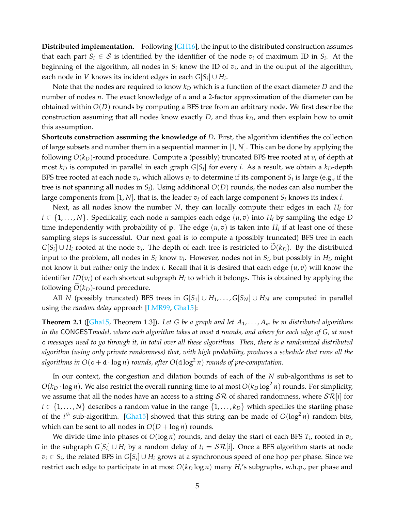**Distributed implementation.** Following [\[GH16\]](#page-14-0), the input to the distributed construction assumes that each part  $S_i \in \mathcal{S}$  is identified by the identifier of the node  $v_i$  of maximum ID in  $S_i$ . At the beginning of the algorithm, all nodes in *S<sup>i</sup>* know the ID of *v<sup>i</sup>* , and in the output of the algorithm, each node in *V* knows its incident edges in each  $G[S_i] \cup H_i$ .

Note that the nodes are required to know *k<sup>D</sup>* which is a function of the exact diameter *D* and the number of nodes *n*. The exact knowledge of *n* and a 2-factor approximation of the diameter can be obtained within *O*(*D*) rounds by computing a BFS tree from an arbitrary node. We first describe the construction assuming that all nodes know exactly *D*, and thus *kD*, and then explain how to omit this assumption.

**Shortcuts construction assuming the knowledge of** *D***.** First, the algorithm identifies the collection of large subsets and number them in a sequential manner in [1, *N*]. This can be done by applying the following *O*(*kD*)-round procedure. Compute a (possibly) truncated BFS tree rooted at *v<sup>i</sup>* of depth at most  $k_D$  is computed in parallel in each graph  $G[S_i]$  for every *i*. As a result, we obtain a  $k_D$ -depth BFS tree rooted at each node  $v_i$ , which allows  $v_i$  to determine if its component  $S_i$  is large (e.g., if the tree is not spanning all nodes in *S<sup>i</sup>* ). Using additional *O*(*D*) rounds, the nodes can also number the large components from  $[1, N]$ , that is, the leader  $v_i$  of each large component  $S_i$  knows its index *i*.

Next, as all nodes know the number *N*, they can locally compute their edges in each *H<sup>i</sup>* for  $i \in \{1, \ldots, N\}$ . Specifically, each node *u* samples each edge  $(u, v)$  into  $H_i$  by sampling the edge *D* time independently with probability of  $\mathbf{p}$ . The edge  $(u,v)$  is taken into  $H_i$  if at least one of these sampling steps is successful. Our next goal is to compute a (possibly truncated) BFS tree in each *G*[*S*<sub>*i*</sub>]∪ *H*<sub>*i*</sub> rooted at the node *v*<sub>*i*</sub>. The depth of each tree is restricted to  $O(k_D)$ . By the distributed input to the problem, all nodes in  $S_i$  know  $v_i$ . However, nodes not in  $S_i$ , but possibly in  $H_i$ , might not know it but rather only the index *i*. Recall that it is desired that each edge (*u*, *v*) will know the identifier *ID*(*vi*) of each shortcut subgraph *H<sup>i</sup>* to which it belongs. This is obtained by applying the following  $O(k_D)$ -round procedure.

All *N* (possibly truncated) BFS trees in  $G[S_1] \cup H_1, \ldots, G[S_N] \cup H_N$  are computed in parallel using the *random delay* approach [\[LMR99,](#page-15-10) [Gha15\]](#page-14-10):

**Theorem 2.1** ([\[Gha15,](#page-14-10) Theorem 1.3])**.** *Let G be a graph and let A*1, . . . , *A<sup>m</sup> be m distributed algorithms in the* CONGEST*model, where each algorithm takes at most* d *rounds, and where for each edge of G, at most* c *messages need to go through it, in total over all these algorithms. Then, there is a randomized distributed algorithm (using only private randomness) that, with high probability, produces a schedule that runs all the* algorithms in  $O(\mathtt{c}+\mathtt{d}\cdot\log n)$  rounds, after  $O(\mathtt{d}\log^2 n)$  rounds of pre-computation.

In our context, the congestion and dilation bounds of each of the *N* sub-algorithms is set to  $O(k_D \cdot \log n)$ . We also restrict the overall running time to at most  $O(k_D \log^2 n)$  rounds. For simplicity, we assume that all the nodes have an access to a string  $S\mathcal{R}$  of shared randomness, where  $S\mathcal{R}[i]$  for  $i \in \{1, \ldots, N\}$  describes a random value in the range  $\{1, \ldots, k_D\}$  which specifies the starting phase of the *i*<sup>th</sup> sub-algorithm. [\[Gha15\]](#page-14-10) showed that this string can be made of  $O(\log^2 n)$  random bits, which can be sent to all nodes in  $O(D + \log n)$  rounds.

We divide time into phases of *O*(log *n*) rounds, and delay the start of each BFS *T<sup>i</sup>* , rooted in *v<sup>i</sup>* , in the subgraph  $G[S_i] \cup H_i$  by a random delay of  $t_i = \mathcal{SR}[i].$  Once a BFS algorithm starts at node *v<sup>i</sup>* ∈ *S<sup>i</sup>* , the related BFS in *G*[*S<sup>i</sup>* ] ∪ *H<sup>i</sup>* grows at a synchronous speed of one hop per phase. Since we restrict each edge to participate in at most *O*(*k<sup>D</sup>* log *n*) many *H<sup>i</sup>* 's subgraphs, w.h.p., per phase and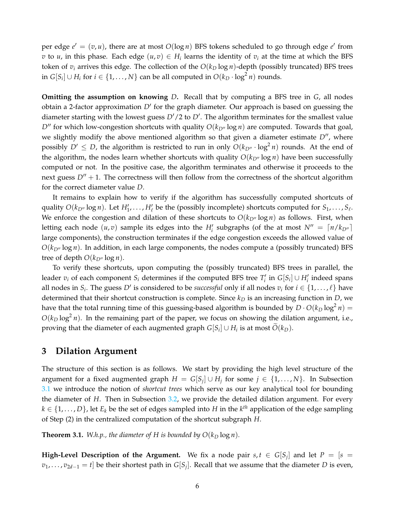per edge  $e' = (v, u)$ , there are at most  $O(log n)$  BFS tokens scheduled to go through edge  $e'$  from *v* to *u*, in this phase. Each edge  $(u, v) \in H_i$  learns the identity of  $v_i$  at the time at which the BFS token of  $v_i$  arrives this edge. The collection of the  $O(k_D \log n)$ -depth (possibly truncated) BFS trees in *G*[*S*<sub>*i*</sub>]∪ *H*<sub>*i*</sub> for *i* ∈ {1, . . . , *N*} can be all computed in  $O(k_D \cdot \log^2 n)$  rounds.

**Omitting the assumption on knowing** *D***.** Recall that by computing a BFS tree in *G*, all nodes obtain a 2-factor approximation D' for the graph diameter. Our approach is based on guessing the diameter starting with the lowest guess  $D'/2$  to  $D'$ . The algorithm terminates for the smallest value  $D''$  for which low-congestion shortcuts with quality  $O(k_{D''}\log n)$  are computed. Towards that goal, we slightly modify the above mentioned algorithm so that given a diameter estimate  $D''$ , where possibly  $D' \leq D$ , the algorithm is restricted to run in only  $O(k_{D''} \cdot \log^2 n)$  rounds. At the end of the algorithm, the nodes learn whether shortcuts with quality  $O(k_{D''}\log n)$  have been successfully computed or not. In the positive case, the algorithm terminates and otherwise it proceeds to the next guess  $D'' + 1$ . The correctness will then follow from the correctness of the shortcut algorithm for the correct diameter value *D*.

It remains to explain how to verify if the algorithm has successfully computed shortcuts of quality  $O(k_{D''}\log n)$ . Let  $H'_1, \ldots, H'_\ell$  be the (possibly incomplete) shortcuts computed for  $S_1, \ldots, S_\ell$ . We enforce the congestion and dilation of these shortcuts to  $O(k_{D''}\log n)$  as follows. First, when letting each node  $(u, v)$  sample its edges into the  $H_i'$  subgraphs (of the at most  $N'' = \lceil n/k_{D''} \rceil$ large components), the construction terminates if the edge congestion exceeds the allowed value of  $O(k_{D''}\log n)$ . In addition, in each large components, the nodes compute a (possibly truncated) BFS tree of depth  $O(k_{D''} \log n)$ .

To verify these shortcuts, upon computing the (possibly truncated) BFS trees in parallel, the leader  $v_i$  of each component  $S_i$  determines if the computed BFS tree  $T'_i$  in  $G[S_i] \cup H'_i$  indeed spans all nodes in  $S_i$ . The guess  $D'$  is considered to be *successful* only if all nodes  $v_i$  for  $i \in \{1, ..., \ell\}$  have determined that their shortcut construction is complete. Since *k<sup>D</sup>* is an increasing function in *D*, we have that the total running time of this guessing-based algorithm is bounded by  $D \cdot O(k_D \log^2 n) =$  $O(k_D \log^2 n)$ . In the remaining part of the paper, we focus on showing the dilation argument, i.e., proving that the diameter of each augmented graph  $G[S_i] \cup H_i$  is at most  $O(k_D)$ .

### <span id="page-5-0"></span>**3 Dilation Argument**

The structure of this section is as follows. We start by providing the high level structure of the argument for a fixed augmented graph  $H = G[S_j] \cup H_j$  for some  $j \in \{1, ..., N\}$ . In Subsection [3.1](#page-6-0) we introduce the notion of *shortcut trees* which serve as our key analytical tool for bounding the diameter of *H*. Then in Subsection [3.2,](#page-10-0) we provide the detailed dilation argument. For every  $k \in \{1, \ldots, D\}$ , let  $E_k$  be the set of edges sampled into  $H$  in the  $k^{th}$  application of the edge sampling of Step (2) in the centralized computation of the shortcut subgraph *H*.

<span id="page-5-1"></span>**Theorem 3.1.** *W.h.p., the diameter of H is bounded by*  $O(k_D \log n)$ *.* 

**High-Level Description of the Argument.** We fix a node pair  $s, t \in G[S_j]$  and let  $P = [s = j]$ *v*<sub>1</sub>, . . . , *v*<sub>2*d*−1</sub> = *t*] be their shortest path in *G*[*S<sub>j</sub>*]. Recall that we assume that the diameter *D* is even,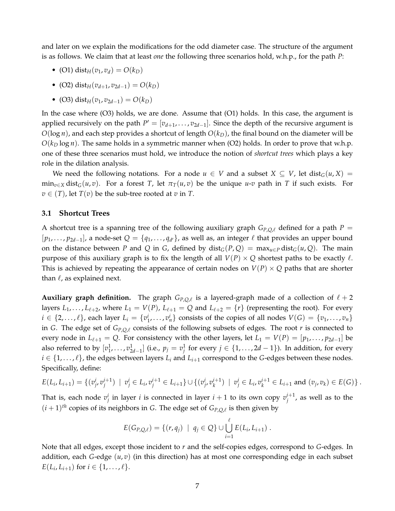and later on we explain the modifications for the odd diameter case. The structure of the argument is as follows. We claim that at least *one* the following three scenarios hold, w.h.p., for the path *P*:

- (O1) dist<sub>*H*</sub>( $v_1, v_d$ ) =  $O(k_D)$
- $\bullet$  (O2) dist<sub>*H*</sub>( $v_{d+1}$ ,  $v_{2d-1}$ ) =  $O(k_D)$
- (O3) dist<sub>*H*</sub>( $v_1, v_{2d-1}$ ) =  $O(k_D)$

In the case where (O3) holds, we are done. Assume that (O1) holds. In this case, the argument is applied recursively on the path  $P' = [v_{d+1}, \ldots, v_{2d-1}]$ . Since the depth of the recursive argument is  $O(\log n)$ , and each step provides a shortcut of length  $O(k_D)$ , the final bound on the diameter will be  $O(k_D \log n)$ . The same holds in a symmetric manner when (O2) holds. In order to prove that w.h.p. one of these three scenarios must hold, we introduce the notion of *shortcut trees* which plays a key role in the dilation analysis.

We need the following notations. For a node  $u \in V$  and a subset  $X \subseteq V$ , let dist<sub>G</sub> $(u, X) =$  $\min_{v \in X} \text{dist}_{G}(u, v)$ . For a forest *T*, let  $\pi_T(u, v)$  be the unique *u*-*v* path in *T* if such exists. For  $v \in (T)$ , let  $T(v)$  be the sub-tree rooted at *v* in *T*.

#### <span id="page-6-0"></span>**3.1 Shortcut Trees**

A shortcut tree is a spanning tree of the following auxiliary graph  $G_{P,Q,\ell}$  defined for a path  $P =$  $[p_1, \ldots, p_{2d-1}]$ , a node-set  $Q = \{q_1, \ldots, q_{d'}\}$ , as well as, an integer  $\ell$  that provides an upper bound on the distance between *P* and *Q* in *G*, defined by dist<sub>*G*</sub>(*P*, *Q*) = max<sub>*u*∈*P*</sub> dist<sub>*G*</sub>(*u*, *Q*). The main purpose of this auxiliary graph is to fix the length of all  $V(P) \times Q$  shortest paths to be exactly  $\ell$ . This is achieved by repeating the appearance of certain nodes on  $V(P) \times Q$  paths that are shorter than  $\ell$ , as explained next.

**Auxiliary graph definition.** The graph  $G_{P,Q,\ell}$  is a layered-graph made of a collection of  $\ell + 2$ layers  $L_1, \ldots, L_{\ell+2}$ , where  $L_1 = V(P)$ ,  $L_{\ell+1} = Q$  and  $L_{\ell+2} = \{r\}$  (representing the root). For every  $i \in \{2,\ldots,\ell\}$ , each layer  $L_i = \{v_1^i,\ldots,v_n^i\}$  consists of the copies of all nodes  $V(G) = \{v_1,\ldots,v_n\}$ in *G*. The edge set of  $G_{P,Q,\ell}$  consists of the following subsets of edges. The root  $r$  is connected to every node in  $L_{\ell+1} = Q$ . For consistency with the other layers, let  $L_1 = V(P) = [p_1, \ldots, p_{2d-1}]$  be also referred to by  $[v_1^1, \ldots, v_{2d-1}^1]$  (i.e.,  $p_j = v_j^1$  for every  $j \in \{1, \ldots, 2d-1\}$ ). In addition, for every  $i \in \{1, \ldots, \ell\}$ , the edges between layers  $L_i$  and  $L_{i+1}$  correspond to the *G*-edges between these nodes. Specifically, define:

$$
E(L_i, L_{i+1}) = \{ (v_j^i, v_j^{i+1}) \mid v_j^i \in L_i, v_j^{i+1} \in L_{i+1} \} \cup \{ (v_j^i, v_k^{i+1}) \mid v_j^i \in L_i, v_k^{i+1} \in L_{i+1} \text{ and } (v_j, v_k) \in E(G) \}.
$$

That is, each node  $v_j^i$  in layer *i* is connected in layer  $i+1$  to its own copy  $v_j^{i+1}$ , as well as to the  $(i+1)$ <sup>th</sup> copies of its neighbors in *G*. The edge set of  $G_{P,Q,\ell}$  is then given by

$$
E(G_{P,Q,\ell}) = \{ (r,q_j) \mid q_j \in Q \} \cup \bigcup_{i=1}^{\ell} E(L_i,L_{i+1}).
$$

Note that all edges, except those incident to *r* and the self-copies edges, correspond to *G*-edges. In addition, each *G*-edge (*u*, *v*) (in this direction) has at most one corresponding edge in each subset  $E(L_i, L_{i+1})$  for  $i \in \{1, ..., \ell\}.$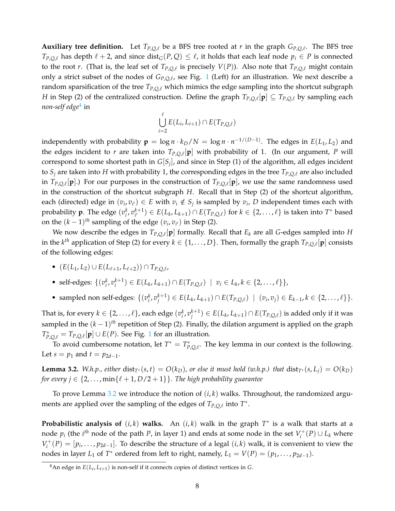**Auxiliary tree definition.** Let  $T_{P,Q,\ell}$  be a BFS tree rooted at *r* in the graph  $G_{P,Q,\ell}$ . The BFS tree *T*<sub>*P*,*Q*, $\ell$ </sub> has depth  $\ell + 2$ , and since dist<sub>*G*</sub>(*P*,*Q*) ≤  $\ell$ , it holds that each leaf node  $p_i$  ∈ *P* is connected to the root *r*. (That is, the leaf set of  $T_{P,Q,\ell}$  is precisely  $V(P)$ ). Also note that  $T_{P,Q,\ell}$  might contain only a strict subset of the nodes of  $G_{P,Q,\ell}$ , see Fig. [1](#page-8-0) (Left) for an illustration. We next describe a random sparsification of the tree  $T_{P,Q,\ell}$  which mimics the edge sampling into the shortcut subgraph *H* in Step (2) of the centralized construction. Define the graph  $T_{P,Q,\ell}[\mathbf{p}] \subseteq T_{P,Q,\ell}$  by sampling each *non-self edge*[4](#page-7-0) in

$$
\bigcup_{i=2}^{\ell} E(L_i, L_{i+1}) \cap E(T_{P,Q,\ell})
$$

independently with probability  $\mathbf{p} = \log n \cdot k_D/N = \log n \cdot n^{-1/(D-1)}$ . The edges in  $E(L_1, L_2)$  and the edges incident to *r* are taken into  $T_{P,Q,\ell}[\mathbf{p}]$  with probability of 1. (In our argument, *P* will correspond to some shortest path in *G*[*S<sup>j</sup>* ], and since in Step (1) of the algorithm, all edges incident to  $S_i$  are taken into H with probability 1, the corresponding edges in the tree  $T_{P, O, \ell}$  are also included in  $T_{P,Q,\ell}[\mathbf{p}].$ ) For our purposes in the construction of  $T_{P,Q,\ell}[\mathbf{p}]$ , we use the same randomness used in the construction of the shortcut subgraph *H*. Recall that in Step (2) of the shortcut algorithm, each (directed) edge in  $(v_i, v_{i'}) \in E$  with  $v_i \notin S_j$  is sampled by  $v_i$ , *D* independent times each with probability **p**. The edge  $(v_i^k, v_{i'}^{k+1})$ *i*<sup>∤+1</sup>) ∈ *E*(*L*<sub>*k*</sub>, *L*<sub>*k*+1</sub>) ∩ *E*(*T*<sub>*P*,*Q*, $\ell$ ) for *k* ∈ {2, . . . ,  $\ell$ } is taken into *T*<sup>\*</sup> based</sub> on the  $(k-1)$ <sup>th</sup> sampling of the edge  $(v_i, v_{i'})$  in Step (2).

We now describe the edges in  $T_{P,Q,\ell}[\mathbf{p}]$  formally. Recall that  $E_k$  are all *G*-edges sampled into *H* in the  $k^{th}$  application of Step (2) for every  $k \in \{1,\ldots,D\}$ . Then, formally the graph  $T_{P,Q,\ell}[\mathbf{p}]$  consists of the following edges:

- $\bullet$  (*E*(*L*<sub>1</sub>, *L*<sub>2</sub>) ∪ *E*(*L*<sub> $\ell+1$ </sub>, *L*<sub> $\ell+2$ </sub>)) ∩ *T*<sub>*P*,*Q*, $\ell$ ,</sub>
- self-edges:  $\{(v_i^k, v_i^{k+1}) \in E(L_k, L_{k+1}) \cap E(T_{P,Q,\ell}) \mid v_i \in L_k, k \in \{2, ..., \ell\}\},$
- sampled non self-edges:  $\{(v_i^k, v_j^{k+1}) \in E(L_k, L_{k+1}) \cap E(T_{P,Q,\ell}) \mid (v_i, v_j) \in E_{k-1}, k \in \{2, ..., \ell\}\}.$

That is, for every  $k\in\{2,\ldots,\ell\}$ , each edge  $(v_i^k,v_j^{k+1})\in E(L_k,L_{k+1})\cap E(T_{P,Q,\ell})$  is added only if it was sampled in the (*k* − 1) *th* repetition of Step (2). Finally, the dilation argument is applied on the graph  $T_{P,Q,\ell}^* = T_{P,Q,\ell}[{\bf p}]$  ∪ *E*(*P*). See Fig. [1](#page-8-0) for an illustration.

To avoid cumbersome notation, let  $T^* = T^*_{P,Q,\ell}$ . The key lemma in our context is the following. Let *s* =  $p_1$  and  $t = p_{2d-1}$ .

<span id="page-7-1"></span>**Lemma 3.2.** *W.h.p., either* dist<sub>*T*<sup>∗</sup></sub>(*s, t*) =  $O(k_D)$ *, or else it must hold (w.h.p.) that* dist<sub>*T*<sup>∗</sup>(*s, L<sub>i</sub>*) =  $O(k_D)$ </sub> *for every*  $j \in \{2, \ldots, \min\{\ell + 1, D/2 + 1\}\}\.$  *The high probability guarantee* 

To prove Lemma [3.2](#page-7-1) we introduce the notion of (*i*, *k*) walks. Throughout, the randomized arguments are applied over the sampling of the edges of  $T_{P,Q,\ell}$  into  $T^*$ .

**Probabilistic analysis of**  $(i, k)$  walks. An  $(i, k)$  walk in the graph  $T^*$  is a walk that starts at a node  $p_i$  (the  $i^{th}$  node of the path  $P$ , in layer 1) and ends at some node in the set  $V_i^+$  $i^{+}(P) ∪ L_k$  where  $V_i^+$  $I_i^+(P) = [p_i, \ldots, p_{2d-1}]$ . To describe the structure of a legal  $(i,k)$  walk, it is convenient to view the nodes in layer *L*<sub>1</sub> of *T*<sup>\*</sup> ordered from left to right, namely, *L*<sub>1</sub> =  $V(P) = (p_1, ..., p_{2d-1}).$ 

<span id="page-7-0"></span> $^4$ An edge in  $E(L_i, L_{i+1})$  is non-self if it connects copies of distinct vertices in *G*.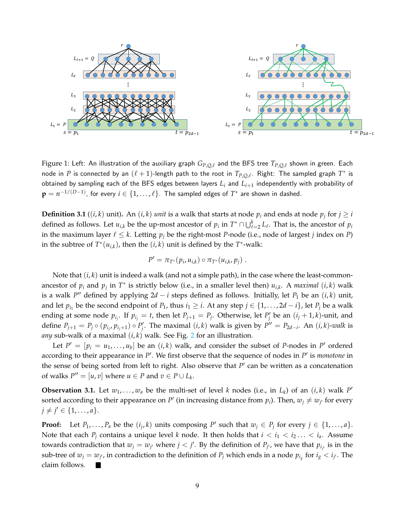

<span id="page-8-0"></span>Figure 1: Left: An illustration of the auxiliary graph  $G_{P,Q,\ell}$  and the BFS tree  $T_{P,Q,\ell}$  shown in green. Each node in  $P$  is connected by an  $(\ell + 1)$ -length path to the root in  $T_{P,Q,\ell}$ . Right: The sampled graph  $T^*$  is obtained by sampling each of the BFS edges between layers *L<sup>i</sup>* and *Li*+<sup>1</sup> independently with probability of  $\mathbf{p} = n^{-1/(D-1)}$ , for every  $i \in \{1,\ldots,\ell\}$ . The sampled edges of  $T^*$  are shown in dashed.

**Definition 3.1** ((*i*, *k*) unit). An (*i*, *k*) *unit* is a walk that starts at node  $p_i$  and ends at node  $p_j$  for  $j \geq i$ defined as follows. Let  $u_{i,k}$  be the up-most ancestor of  $p_i$  in  $T^* \cap \bigcup_{\ell=2}^k L_\ell$ . That is, the ancestor of  $p_i$ in the maximum layer  $\ell \leq k$ . Letting  $p_j$  be the right-most *P*-node (i.e., node of largest *j* index on *P*) in the subtree of  $T^*(u_{i,k})$ , then the  $(i,k)$  unit is defined by the  $T^*$ -walk:

$$
P' = \pi_{T^*}(p_i, u_{i,k}) \circ \pi_{T^*}(u_{i,k}, p_j) \ .
$$

Note that (*i*, *k*) unit is indeed a walk (and not a simple path), in the case where the least-commonancestor of  $p_i$  and  $p_j$  in  $T^*$  is strictly below (i.e., in a smaller level then)  $u_{i,k}$ . A *maximal*  $(i,k)$  walk is a walk *P* <sup>00</sup> defined by applying 2*d* − *i* steps defined as follows. Initially, let *P*<sup>1</sup> be an (*i*, *k*) unit, and let  $p_{i_1}$  be the second endpoint of  $P_1$ , thus  $i_1 \geq i$ . At any step  $j \in \{1, ..., 2d - i\}$ , let  $P_j$  be a walk ending at some node  $p_{i_j}$ . If  $p_{i_j} = t$ , then let  $P_{j+1} = P_j$ . Otherwise, let  $P'_j$  be an  $(i_j + 1, k)$ -unit, and define  $P_{j+1} = P_j \circ (p_{i_j}, p_{i_j+1}) \circ P'_j$ . The maximal  $(i, k)$  walk is given by  $P'' = P_{2d-i}$ . An  $(i, k)$ -walk is *any* sub-walk of a maximal (*i*, *k*) walk. See Fig. [2](#page-9-0) for an illustration.

Let  $P' = [p_i = u_1, \ldots, u_b]$  be an  $(i, k)$  walk, and consider the subset of *P*-nodes in *P*' ordered according to their appearance in P<sup>'</sup>. We first observe that the sequence of nodes in P<sup>'</sup> is *monotone* in the sense of being sorted from left to right. Also observe that  $P'$  can be written as a concatenation of walks  $P'' = [u, v]$  where  $u \in P$  and  $v \in P \cup L_k$ .

<span id="page-8-1"></span>**Observation 3.1.** Let  $w_1, \ldots, w_a$  be the multi-set of level *k* nodes (i.e., in  $L_k$ ) of an  $(i, k)$  walk  $P'$ sorted according to their appearance on  $P'$  (in increasing distance from  $p_i$ ). Then,  $w_j \neq w_{j'}$  for every  $j \neq j' \in \{1, \ldots, a\}.$ 

**Proof:** Let  $P_1, \ldots, P_a$  be the  $(i_j, k)$  units composing  $P'$  such that  $w_j \in P_j$  for every  $j \in \{1, \ldots, a\}$ . Note that each  $P_i$  contains a unique level *k* node. It then holds that  $i < i_1 < i_2... < i_a$ . Assume towards contradiction that  $w_j = w_{j'}$  where  $j < j'$ . By the definition of  $P_{j'}$ , we have that  $p_{i_{j'}}$  is in the sub-tree of  $w_j = w_{j'}$ , in contradiction to the definition of  $P_j$  which ends in a node  $p_{i_g}$  for  $i_g < i_{j'}$ . The claim follows.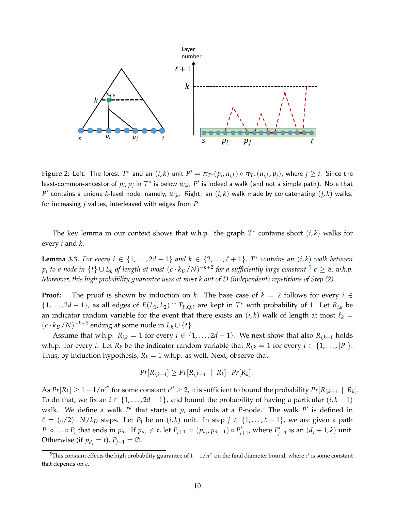<span id="page-9-0"></span>

Figure 2: Left: The forest  $T^*$  and an  $(i,k)$  unit  $P' = \pi_{T^*}(p_i,u_{i,k}) \circ \pi_{T*}(u_{i,k},p_j)$ , where  $j \geq i$ . Since the least-common-ancestor of  $p_i$ ,  $p_j$  in  $T^\ast$  is below  $u_{i,k}$ ,  $P'$  is indeed a walk (and not a simple path). Note that  $P'$  contains a unique  $k$ -level node, namely,  $u_{i,k}$ . Right: an  $(i,k)$  walk made by concatenating  $(j,k)$  walks, for increasing *j* values, interleaved with edges from *P*.

The key lemma in our context shows that w.h.p. the graph  $T^*$  contains short  $(i, k)$  walks for every *i* and *k*.

<span id="page-9-2"></span>**Lemma 3.3.** For every  $i \in \{1, ..., 2d - 1\}$  and  $k \in \{2, ..., \ell + 1\}$ ,  $T^*$  contains an  $(i, k)$  walk between  $p_i$  *to a node in*  $\{t\} \cup L_k$  *of length at most*  $(c \cdot k_D/N)^{-k+2}$  *for a sufficiently large constant*  $^5$  $^5$  *c*  $\geq$  8*, w.h.p. Moreover, this high probability guarantee uses at most k out of D (independent) repetitions of Step (2).*

**Proof:** The proof is shown by induction on *k*. The base case of  $k = 2$  follows for every  $i \in$ {1,..., 2*d* − 1}, as all edges of  $E(L_1, L_2) \cap T_{P,Q,\ell}$  are kept in  $T^*$  with probability of 1. Let  $R_{i,k}$  be an indicator random variable for the event that there exists an  $(i, k)$  walk of length at most  $\ell_k =$  $(c \cdot k_D/N)^{-k+2}$  ending at some node in  $L_k \cup \{t\}.$ 

Assume that w.h.p.  $R_{i,k} = 1$  for every  $i \in \{1, ..., 2d - 1\}$ . We next show that also  $R_{i,k+1}$  holds w.h.p. for every *i*. Let  $R_k$  be the indicator random variable that  $R_{i,k} = 1$  for every  $i \in \{1, ..., |P|\}$ . Thus, by induction hypothesis,  $R_k = 1$  w.h.p. as well. Next, observe that

$$
Pr[R_{i,k+1}] \geq Pr[R_{i,k+1} | R_k] \cdot Pr[R_k].
$$

As  $Pr[R_k] \geq 1 - 1/n^{c''}$  for some constant  $c'' \geq 2$ , it is sufficient to bound the probability  $Pr[R_{i,k+1} | R_k]$ . To do that, we fix an *i* ∈ {1,..., 2*d* − 1}, and bound the probability of having a particular  $(i, k + 1)$ walk. We define a walk  $P'$  that starts at  $p_i$  and ends at a P-node. The walk  $P'$  is defined in  $\ell = (c/2) \cdot N/k_D$  steps. Let  $P_1$  be an  $(i,k)$  unit. In step  $j \in \{1, ..., \ell - 1\}$ , we are given a path  $P_1 \circ \ldots \circ P_j$  that ends in  $p_{d_j}$ . If  $p_{d_j} \neq t$ , let  $P_{j+1} = (p_{d_j}, p_{d_j+1}) \circ P'_{j+1}$ , where  $P'_{j+1}$  is an  $(d_j + 1, k)$  unit. Otherwise (if  $p_{d_i} = t$ ),  $P_{j+1} = \emptyset$ .

<span id="page-9-1"></span><sup>&</sup>lt;sup>5</sup>This constant effects the high probability guarantee of  $1-1/n^{c'}$  on the final diameter bound, where  $c'$  is some constant that depends on *c*.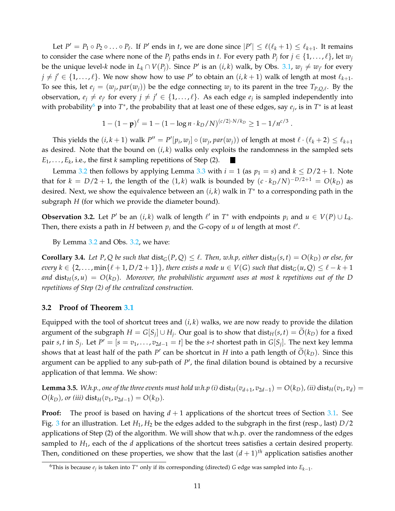Let  $P' = P_1 \circ P_2 \circ \ldots \circ P_\ell$ . If  $P'$  ends in *t*, we are done since  $|P'| \leq \ell(\ell_k + 1) \leq \ell_{k+1}$ . It remains to consider the case where none of the  $P_j$  paths ends in *t*. For every path  $P_j$  for  $j \in \{1, \ldots, \ell\}$ , let  $w_j$ be the unique level-*k* node in  $L_k \cap V(P_j)$ . Since *P'* is an  $(i, k)$  walk, by Obs. [3.1,](#page-8-1)  $w_j \neq w_{j'}$  for every  $j \neq j' \in \{1, \ldots, \ell\}$ . We now show how to use *P'* to obtain an  $(i, k + 1)$  walk of length at most  $\ell_{k+1}$ . To see this, let  $e_j = (w_j, par(w_j))$  be the edge connecting  $w_j$  to its parent in the tree  $T_{P,Q,\ell}$ . By the observation,  $e_j \neq e_{j'}$  for every  $j \neq j' \in \{1, \ldots, \ell\}$ . As each edge  $e_j$  is sampled independently into with probability<sup>[6](#page-10-1)</sup> **p** into  $T^*$ , the probability that at least one of these edges, say  $e_j$ , is in  $T^*$  is at least

$$
1-(1-\mathbf{p})^{\ell}=1-(1-\log n\cdot k_D/N)^{(c/2)\cdot N/k_D}\geq 1-1/n^{c/3}.
$$

This yields the  $(i, k + 1)$  walk  $P'' = P'[p_i, w_j] \circ (w_j, par(w_j))$  of length at most  $\ell \cdot (\ell_k + 2) \leq \ell_{k+1}$ as desired. Note that the bound on  $(i, k)$  walks only exploits the randomness in the sampled sets  $E_1, \ldots, E_k$ , i.e., the first *k* sampling repetitions of Step (2).

Lemma [3.2](#page-7-1) then follows by applying Lemma [3.3](#page-9-2) with  $i = 1$  (as  $p_1 = s$ ) and  $k \leq D/2 + 1$ . Note that for  $k = D/2 + 1$ , the length of the  $(1, k)$  walk is bounded by  $(c \cdot k_D/N)^{-D/2+1} = O(k_D)$  as desired. Next, we show the equivalence between an (*i*, *k*) walk in *T* ∗ to a corresponding path in the subgraph *H* (for which we provide the diameter bound).

<span id="page-10-2"></span>**Observation 3.2.** Let *P*<sup>*'*</sup> be an  $(i, k)$  walk of length  $\ell'$  in  $T^*$  with endpoints  $p_i$  and  $u \in V(P) \cup L_k$ . Then, there exists a path in *H* between  $p_i$  and the *G*-copy of *u* of length at most  $\ell'$ .

By Lemma [3.2](#page-7-1) and Obs. [3.2,](#page-10-2) we have:

<span id="page-10-3"></span>**Corollary 3.4.** Let P, Q be such that  $dist_G(P,Q) \leq \ell$ . Then, w.h.p, either  $dist_H(s,t) = O(k_D)$  or else, for *every*  $k \in \{2, \ldots, \min\{\ell + 1, D/2 + 1\}\}\$ , there exists a node  $u \in V(G)$  such that  $dist_G(u, Q) \leq \ell - k + 1$ and  $dist_H(s, u) = O(k_D)$ . Moreover, the probabilistic argument uses at most k repetitions out of the D *repetitions of Step (2) of the centralized construction.*

#### <span id="page-10-0"></span>**3.2 Proof of Theorem [3.1](#page-5-1)**

Equipped with the tool of shortcut trees and  $(i, k)$  walks, we are now ready to provide the dilation argument of the subgraph  $H = G[S_j] \cup H_j$ . Our goal is to show that  $dist_H(s,t) = O(k_D)$  for a fixed pair *s*, *t* in  $S_j$ . Let  $P' = [s = v_1, \ldots, v_{2d-1} = t]$  be the *s*-*t* shortest path in  $G[S_j]$ . The next key lemma shows that at least half of the path *P*<sup> $\prime$ </sup> can be shortcut in *H* into a path length of  $\tilde{O}(k_D)$ . Since this argument can be applied to any sub-path of  $P'$ , the final dilation bound is obtained by a recursive application of that lemma. We show:

<span id="page-10-4"></span>**Lemma 3.5.** W.h.p., one of the three events must hold w.h.p (i)  $dist_H(v_{d+1}, v_{2d-1}) = O(k_D)$ , (ii)  $dist_H(v_1, v_d) =$ *O*( $k_D$ ), or (iii) dist<sub>*H*</sub>( $v_1$ ,  $v_{2d-1}$ ) = *O*( $k_D$ ).

**Proof:** The proof is based on having  $d+1$  applications of the shortcut trees of Section [3.1.](#page-6-0) See Fig. [3](#page-12-0) for an illustration. Let  $H_1$ ,  $H_2$  be the edges added to the subgraph in the first (resp., last)  $D/2$ applications of Step (2) of the algorithm. We will show that w.h.p. over the randomness of the edges sampled to *H*1, each of the *d* applications of the shortcut trees satisfies a certain desired property. Then, conditioned on these properties, we show that the last  $(d+1)$ <sup>th</sup> application satisfies another

<span id="page-10-1"></span><sup>6</sup>This is because *e<sup>j</sup>* is taken into *T* <sup>∗</sup> only if its corresponding (directed) *<sup>G</sup>* edge was sampled into *<sup>E</sup>k*−<sup>1</sup> .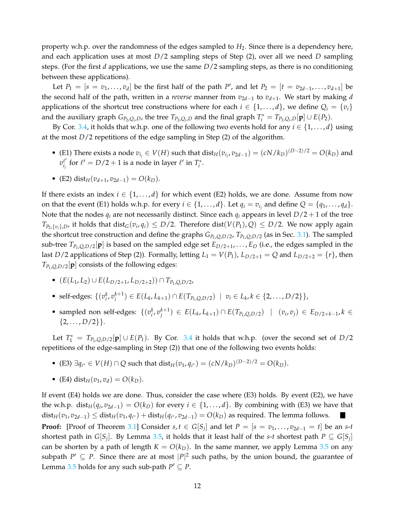property w.h.p. over the randomness of the edges sampled to *H*2. Since there is a dependency here, and each application uses at most *D*/2 sampling steps of Step (2), over all we need *D* sampling steps. (For the first *d* applications, we use the same *D*/2 sampling steps, as there is no conditioning between these applications).

Let  $P_1 = [s = v_1, \ldots, v_d]$  be the first half of the path  $P'$ , and let  $P_2 = [t = v_{2d-1}, \ldots, v_{d+1}]$  be the second half of the path, written in a *reverse* manner from  $v_{2d-1}$  to  $v_{d+1}$ . We start by making *d* applications of the shortcut tree constructions where for each  $i \in \{1, \ldots, d\}$ , we define  $Q_i = \{v_i\}$ and the auxiliary graph  $G_{P_2,Q_i,D}$ , the tree  $T_{P_2,Q_i,D}$  and the final graph  $T_i^* = T_{P_2,Q_i,D}[\mathbf{p}] \cup E(P_2)$ .

By Cor. [3.4,](#page-10-3) it holds that w.h.p. one of the following two events hold for any  $i \in \{1, ..., d\}$  using at the most  $D/2$  repetitions of the edge sampling in Step  $(2)$  of the algorithm.

- (E1) There exists a node  $v_{i_j}$  ∈  $V(H)$  such that  $dist_H(v_{i_j}, v_{2d-1}) = (cN/k_D)^{(D-2)/2} = O(k_D)$  and  $v_i^{\ell'}$  $\frac{\ell'}{i_j}$  for  $\ell' = D/2 + 1$  is a node in layer  $\ell'$  in  $T^*_i$ .
- $\bullet$  (E2) dist<sub>*H*</sub>( $v_{d+1}$ ,  $v_{2d-1}$ ) = *O*( $k_D$ ).

If there exists an index  $i \in \{1, ..., d\}$  for which event (E2) holds, we are done. Assume from now on that the event (E1) holds w.h.p. for every  $i \in \{1, ..., d\}$ . Let  $q_i = v_{i_j}$  and define  $Q = \{q_1, ..., q_d\}$ . Note that the nodes  $q_i$  are not necessarily distinct. Since each  $q_i$  appears in level  $D/2 + 1$  of the tree  $T_{P_2,\{v_i\},D}$ , it holds that  $\text{dist}_G(v_i,q_i) \leq D/2$ . Therefore  $\text{dist}(V(P_1),Q) \leq D/2$ . We now apply again the shortcut tree construction and define the graphs  $G_{P_1,Q,D/2}$ ,  $T_{P_1,Q,D/2}$  (as in Sec. [3.1\)](#page-6-0). The sampled sub-tree  $T_{P_1,Q,D/2}[\mathbf{p}]$  is based on the sampled edge set  $E_{D/2+1},\ldots,E_D$  (i.e., the edges sampled in the last *D*/2 applications of Step (2)). Formally, letting  $L_1 = V(P_1)$ ,  $L_{D/2+1} = Q$  and  $L_{D/2+2} = \{r\}$ , then  $T_{P_1, Q, D/2}[\mathbf{p}]$  consists of the following edges:

- $\bullet$  (*E*(*L*<sub>1</sub>, *L*<sub>2</sub>) ∪ *E*(*L*<sub>*D*/2+1</sub>, *L*<sub>*D*/2+2</sub>)) ∩ *T*<sub>*P*<sub>1</sub>,*Q*,*D*/2*r*</sub>
- self-edges:  $\{(v_i^k, v_i^{k+1}) \in E(L_k, L_{k+1}) \cap E(T_{P_1, Q, D/2}) \mid v_i \in L_k, k \in \{2, ..., D/2\}\},$
- sampled non self-edges:  $\{(v_i^k, v_j^{k+1}) \in E(L_k, L_{k+1}) \cap E(T_{P_1,Q,D/2}) \mid (v_i, v_j) \in E_{D/2+k-1}, k \in$  $\{2,\ldots,D/2\}\}.$

Let  $T_1^* = T_{P_1,Q,D/2}[\mathbf{p}] \cup E(P_1)$ . By Cor. [3.4](#page-10-3) it holds that w.h.p. (over the second set of *D*/2 repetitions of the edge-sampling in Step (2)) that one of the following two events holds:

- (E3)  $\exists q_{i^*} \in V(H) \cap Q$  such that dist<sub>*H*</sub>( $v_1, q_{i^*}$ ) = (*cN*/*k<sub>D</sub>*)<sup>(*D*−2)/2</sup> = *O*(*k<sub>D</sub>*).
- (E4) dist<sub>*H*</sub>( $v_1, v_d$ ) =  $O(k_D)$ .

Lemma [3.5](#page-10-4) holds for any such sub-path  $P' \subseteq P$ .

If event  $(E4)$  holds we are done. Thus, consider the case where  $(E3)$  holds. By event  $(E2)$ , we have the w.h.p.  $dist_H(q_i, v_{2d-1}) = O(k_D)$  for every  $i \in \{1, ..., d\}$ . By combining with (E3) we have that  $dist_H(v_1, v_{2d-1}) \leq dist_H(v_1, q_{i^*}) + dist_H(q_{i^*}, v_{2d-1}) = O(k_D)$  as required. The lemma follows. **Proof:** [Proof of Theorem [3.1\]](#page-5-1) Consider  $s, t \in G[S_j]$  and let  $P = [s = v_1, \ldots, v_{2d-1} = t]$  be an  $s$ -*t* shortest path in  $G[S_j]$ . By Lemma [3.5,](#page-10-4) it holds that it least half of the *s-t* shortest path  $P \subseteq G[S_j]$ can be shorten by a path of length  $K = O(k_D)$ . In the same manner, we apply Lemma [3.5](#page-10-4) on any subpath  $P' \subseteq P$ . Since there are at most  $|P|^2$  such paths, by the union bound, the guarantee of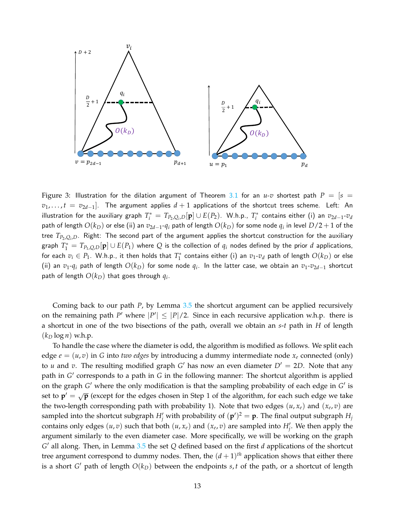

<span id="page-12-0"></span>Figure 3: Illustration for the dilation argument of Theorem [3.1](#page-5-1) for an  $u$ -v shortest path  $P = [s =$  $v_1,\ldots,t$  =  $v_{2d-1}]$ . The argument applies  $d+1$  applications of the shortcut trees scheme. Left: An illustration for the auxiliary graph  $T_i^*=T_{P_2,Q_i,D}[\mathbf{p}]\cup E(P_2).$  W.h.p.,  $T_i^*$  contains either (i) an  $v_{2d-1}$ - $v_d$ path of length  $O(k_D)$  or else (ii) an  $v_{2d-1}$ - $q_i$  path of length  $O(k_D)$  for some node  $q_i$  in level  $D/2+1$  of the tree *TP*2,*Q<sup>i</sup>* ,*D*. Right: The second part of the argument applies the shortcut construction for the auxiliary graph  $T_1^* = T_{P_1,Q,D}[\mathbf{p}] \cup E(P_1)$  where  $Q$  is the collection of  $q_i$  nodes defined by the prior  $d$  applications, for each  $v_i \in P_1$ . W.h.p., it then holds that  $T_1^*$  contains either (i) an  $v_1\hbox{-} v_d$  path of length  $O(k_D)$  or else (ii) an  $v_1$ - $q_i$  path of length  $O(k_D)$  for some node  $q_i$ . In the latter case, we obtain an  $v_1$ - $v_{2d-1}$  shortcut path of length  $O(k_D)$  that goes through  $q_i$ .

Coming back to our path *P*, by Lemma [3.5](#page-10-4) the shortcut argument can be applied recursively on the remaining path *P*<sup> $\prime$ </sup> where  $|P'| \leq |P|/2$ . Since in each recursive application w.h.p. there is a shortcut in one of the two bisections of the path, overall we obtain an *s*-*t* path in *H* of length  $(k_D \log n)$  w.h.p.

To handle the case where the diameter is odd, the algorithm is modified as follows. We split each edge  $e = (u, v)$  in G into *two edges* by introducing a dummy intermediate node  $x_e$  connected (only) to *u* and *v*. The resulting modified graph *G*<sup>'</sup> has now an even diameter  $D' = 2D$ . Note that any path in *G'* corresponds to a path in *G* in the following manner: The shortcut algorithm is applied on the graph *G'* where the only modification is that the sampling probability of each edge in *G'* is set to  $\mathbf{p}' = \sqrt{\mathbf{p}}$  (except for the edges chosen in Step 1 of the algorithm, for each such edge we take the two-length corresponding path with probability 1). Note that two edges  $(u, x_e)$  and  $(x_e, v)$  are sampled into the shortcut subgraph  $H'_j$  with probability of  $({\bf p}')^2 = {\bf p}$ . The final output subgraph  $H_j$ contains only edges  $(u, v)$  such that both  $(u, x_e)$  and  $(x_e, v)$  are sampled into  $H'_j$ . We then apply the argument similarly to the even diameter case. More specifically, we will be working on the graph *G*<sup>'</sup> all along. Then, in Lemma [3.5](#page-10-4) the set *Q* defined based on the first *d* applications of the shortcut tree argument correspond to dummy nodes. Then, the  $(d+1)^{th}$  application shows that either there is a short *G'* path of length  $O(k_D)$  between the endpoints *s*, *t* of the path, or a shortcut of length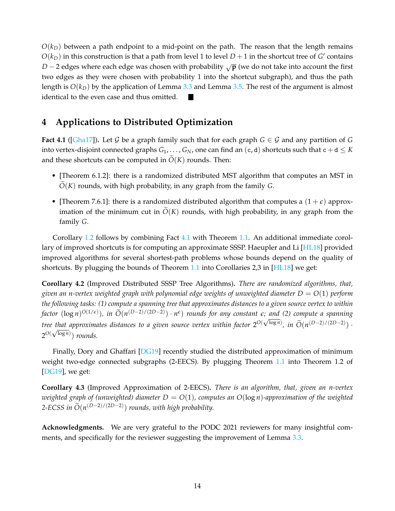$O(k_D)$  between a path endpoint to a mid-point on the path. The reason that the length remains  $O(k_D)$  in this construction is that a path from level 1 to level  $D+1$  in the shortcut tree of *G*<sup> $\prime$ </sup> contains *D* − 2 edges where each edge was chosen with probability  $\sqrt{p}$  (we do not take into account the first two edges as they were chosen with probability 1 into the shortcut subgraph), and thus the path length is *O*(*kD*) by the application of Lemma [3.3](#page-9-2) and Lemma [3.5.](#page-10-4) The rest of the argument is almost identical to the even case and thus omitted.

## **4 Applications to Distributed Optimization**

<span id="page-13-0"></span>**Fact 4.1** ([\[Gha17\]](#page-14-11)). Let G be a graph family such that for each graph  $G \in \mathcal{G}$  and any partition of G into vertex-disjoint connected graphs  $G_1, \ldots, G_N$ , one can find an  $(c, d)$  shortcuts such that  $c + d \leq K$ and these shortcuts can be computed in  $\tilde{O}(K)$  rounds. Then:

- [Theorem 6.1.2]: there is a randomized distributed MST algorithm that computes an MST in  $O(K)$  rounds, with high probability, in any graph from the family *G*.
- [Theorem 7.6.1]: there is a randomized distributed algorithm that computes a  $(1+\epsilon)$  approximation of the minimum cut in  $O(K)$  rounds, with high probability, in any graph from the family *G*.

Corollary [1.2](#page-2-2) follows by combining Fact [4.1](#page-13-0) with Theorem [1.1.](#page-2-3) An additional immediate corollary of improved shortcuts is for computing an approximate SSSP. Haeupler and Li [\[HL18\]](#page-15-0) provided improved algorithms for several shortest-path problems whose bounds depend on the quality of shortcuts. By plugging the bounds of Theorem [1.1](#page-2-3) into Corollaries 2,3 in  $[HL18]$  we get:

**Corollary 4.2** (Improved Distributed SSSP Tree Algorithms)**.** *There are randomized algorithms, that, given an n-vertex weighted graph with polynomial edge weights of unweighted diameter D* = *O*(1) *perform the following tasks: (1) compute a spanning tree that approximates distances to a given source vertex to within*  $factor (\log n)^{O(1/\epsilon)}$ , in  $\widetilde{O}(n^{(D-2)/(2D-2)}) \cdot n^{\epsilon}$  *rounds for any constant*  $\epsilon$ *; and (2) compute a spanning tree that approximates distances to a given source vertex within factor*  $2^{O(\sqrt{\log n})}$ , in  $\widetilde{O}(n^{(D-2)/(2D-2)})$ .  $2^{O(\sqrt{\log n})}$ ) rounds.

Finally, Dory and Ghaffari [\[DG19\]](#page-14-2) recently studied the distributed approximation of minimum weight two-edge connected subgraphs (2-EECS). By plugging Theorem [1.1](#page-2-3) into Theorem 1.2 of [\[DG19\]](#page-14-2), we get:

**Corollary 4.3** (Improved Approximation of 2-EECS)**.** *There is an algorithm, that, given an n-vertex weighted graph of (unweighted) diameter D* = *O*(1)*, computes an O*(log *n*)*-approximation of the weighted* 2-ECSS in  $\widetilde{O}(n^{(D-2)/(2D-2)})$  *rounds, with high probability*.

**Acknowledgments.** We are very grateful to the PODC 2021 reviewers for many insightful com-ments, and specifically for the reviewer suggesting the improvement of Lemma [3.3.](#page-9-2)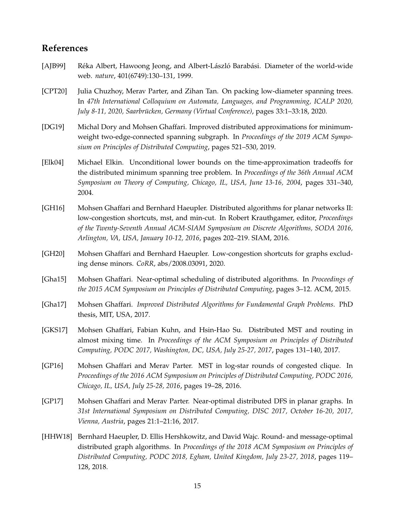## **References**

- <span id="page-14-7"></span>[AJB99] Réka Albert, Hawoong Jeong, and Albert-László Barabási. Diameter of the world-wide web. *nature*, 401(6749):130–131, 1999.
- <span id="page-14-5"></span>[CPT20] Julia Chuzhoy, Merav Parter, and Zihan Tan. On packing low-diameter spanning trees. In *47th International Colloquium on Automata, Languages, and Programming, ICALP 2020, July 8-11, 2020, Saarbrücken, Germany (Virtual Conference), pages 33:1–33:18, 2020.*
- <span id="page-14-2"></span>[DG19] Michal Dory and Mohsen Ghaffari. Improved distributed approximations for minimumweight two-edge-connected spanning subgraph. In *Proceedings of the 2019 ACM Symposium on Principles of Distributed Computing*, pages 521–530, 2019.
- <span id="page-14-3"></span>[Elk04] Michael Elkin. Unconditional lower bounds on the time-approximation tradeoffs for the distributed minimum spanning tree problem. In *Proceedings of the 36th Annual ACM Symposium on Theory of Computing, Chicago, IL, USA, June 13-16, 2004*, pages 331–340, 2004.
- <span id="page-14-0"></span>[GH16] Mohsen Ghaffari and Bernhard Haeupler. Distributed algorithms for planar networks II: low-congestion shortcuts, mst, and min-cut. In Robert Krauthgamer, editor, *Proceedings of the Twenty-Seventh Annual ACM-SIAM Symposium on Discrete Algorithms, SODA 2016, Arlington, VA, USA, January 10-12, 2016*, pages 202–219. SIAM, 2016.
- <span id="page-14-4"></span>[GH20] Mohsen Ghaffari and Bernhard Haeupler. Low-congestion shortcuts for graphs excluding dense minors. *CoRR*, abs/2008.03091, 2020.
- <span id="page-14-10"></span>[Gha15] Mohsen Ghaffari. Near-optimal scheduling of distributed algorithms. In *Proceedings of the 2015 ACM Symposium on Principles of Distributed Computing*, pages 3–12. ACM, 2015.
- <span id="page-14-11"></span>[Gha17] Mohsen Ghaffari. *Improved Distributed Algorithms for Fundamental Graph Problems*. PhD thesis, MIT, USA, 2017.
- <span id="page-14-6"></span>[GKS17] Mohsen Ghaffari, Fabian Kuhn, and Hsin-Hao Su. Distributed MST and routing in almost mixing time. In *Proceedings of the ACM Symposium on Principles of Distributed Computing, PODC 2017, Washington, DC, USA, July 25-27, 2017*, pages 131–140, 2017.
- <span id="page-14-8"></span>[GP16] Mohsen Ghaffari and Merav Parter. MST in log-star rounds of congested clique. In *Proceedings of the 2016 ACM Symposium on Principles of Distributed Computing, PODC 2016, Chicago, IL, USA, July 25-28, 2016*, pages 19–28, 2016.
- <span id="page-14-1"></span>[GP17] Mohsen Ghaffari and Merav Parter. Near-optimal distributed DFS in planar graphs. In *31st International Symposium on Distributed Computing, DISC 2017, October 16-20, 2017, Vienna, Austria*, pages 21:1–21:16, 2017.
- <span id="page-14-9"></span>[HHW18] Bernhard Haeupler, D. Ellis Hershkowitz, and David Wajc. Round- and message-optimal distributed graph algorithms. In *Proceedings of the 2018 ACM Symposium on Principles of Distributed Computing, PODC 2018, Egham, United Kingdom, July 23-27, 2018*, pages 119– 128, 2018.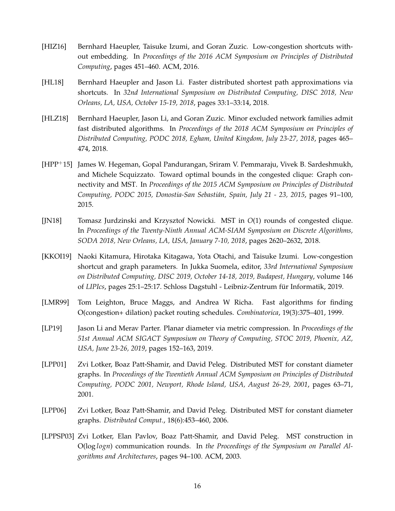- <span id="page-15-2"></span>[HIZ16] Bernhard Haeupler, Taisuke Izumi, and Goran Zuzic. Low-congestion shortcuts without embedding. In *Proceedings of the 2016 ACM Symposium on Principles of Distributed Computing*, pages 451–460. ACM, 2016.
- <span id="page-15-0"></span>[HL18] Bernhard Haeupler and Jason Li. Faster distributed shortest path approximations via shortcuts. In *32nd International Symposium on Distributed Computing, DISC 2018, New Orleans, LA, USA, October 15-19, 2018*, pages 33:1–33:14, 2018.
- <span id="page-15-3"></span>[HLZ18] Bernhard Haeupler, Jason Li, and Goran Zuzic. Minor excluded network families admit fast distributed algorithms. In *Proceedings of the 2018 ACM Symposium on Principles of Distributed Computing, PODC 2018, Egham, United Kingdom, July 23-27, 2018*, pages 465– 474, 2018.
- <span id="page-15-6"></span>[HPP+15] James W. Hegeman, Gopal Pandurangan, Sriram V. Pemmaraju, Vivek B. Sardeshmukh, and Michele Scquizzato. Toward optimal bounds in the congested clique: Graph connectivity and MST. In *Proceedings of the 2015 ACM Symposium on Principles of Distributed Computing, PODC 2015, Donostia-San Sebasti´an, Spain, July 21 - 23, 2015*, pages 91–100, 2015.
- <span id="page-15-7"></span>[JN18] Tomasz Jurdzinski and Krzysztof Nowicki. MST in *O*(1) rounds of congested clique. In *Proceedings of the Twenty-Ninth Annual ACM-SIAM Symposium on Discrete Algorithms, SODA 2018, New Orleans, LA, USA, January 7-10, 2018*, pages 2620–2632, 2018.
- <span id="page-15-4"></span>[KKOI19] Naoki Kitamura, Hirotaka Kitagawa, Yota Otachi, and Taisuke Izumi. Low-congestion shortcut and graph parameters. In Jukka Suomela, editor, *33rd International Symposium on Distributed Computing, DISC 2019, October 14-18, 2019, Budapest, Hungary*, volume 146 of *LIPIcs*, pages 25:1–25:17. Schloss Dagstuhl - Leibniz-Zentrum fur Informatik, 2019. ¨
- <span id="page-15-10"></span>[LMR99] Tom Leighton, Bruce Maggs, and Andrea W Richa. Fast algorithms for finding O(congestion+ dilation) packet routing schedules. *Combinatorica*, 19(3):375–401, 1999.
- <span id="page-15-1"></span>[LP19] Jason Li and Merav Parter. Planar diameter via metric compression. In *Proceedings of the 51st Annual ACM SIGACT Symposium on Theory of Computing, STOC 2019, Phoenix, AZ, USA, June 23-26, 2019*, pages 152–163, 2019.
- <span id="page-15-8"></span>[LPP01] Zvi Lotker, Boaz Patt-Shamir, and David Peleg. Distributed MST for constant diameter graphs. In *Proceedings of the Twentieth Annual ACM Symposium on Principles of Distributed Computing, PODC 2001, Newport, Rhode Island, USA, August 26-29, 2001*, pages 63–71, 2001.
- <span id="page-15-9"></span>[LPP06] Zvi Lotker, Boaz Patt-Shamir, and David Peleg. Distributed MST for constant diameter graphs. *Distributed Comput.*, 18(6):453–460, 2006.
- <span id="page-15-5"></span>[LPPSP03] Zvi Lotker, Elan Pavlov, Boaz Patt-Shamir, and David Peleg. MST construction in O(log *logn*) communication rounds. In *the Proceedings of the Symposium on Parallel Algorithms and Architectures*, pages 94–100. ACM, 2003.